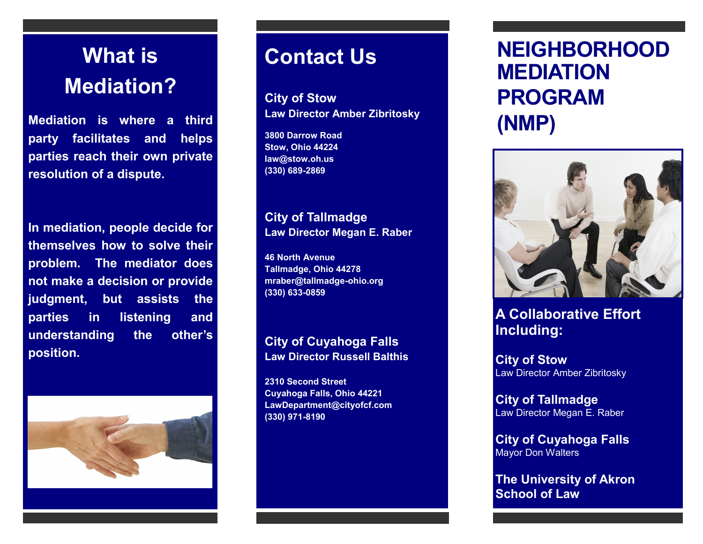# **What is Mediation?**

**Mediation is where a third party facilitates and helps parties reach their own private resolution of a dispute.**

**In mediation, people decide for themselves how to solve their problem. The mediator does not make a decision or provide judgment, but assists the parties in listening and understanding the other's position.**



### **Contact Us**

**City of Stow Law Director Amber Zibritosky** 

**3800 Darrow Road Stow, Ohio 44224 law@stow.oh.us (330) 689-2869**

**City of Tallmadge Law Director Megan E. Raber** 

**46 North Avenue Tallmadge, Ohio 44278 mraber@tallmadge-ohio.org (330) 633-0859**

#### **City of Cuyahoga Falls Law Director Russell Balthis**

**2310 Second Street Cuyahoga Falls, Ohio 44221 LawDepartment@cityofcf.com (330) 971-8190**

## **NEIGHBORHOOD MEDIATION PROGRAM (NMP)**



**A Collaborative Effort Including:**

**City of Stow**  Law Director Amber Zibritosky

**City of Tallmadge**  Law Director Megan E. Raber

**City of Cuyahoga Falls**  Mayor Don Walters

**The University of Akron School of Law**